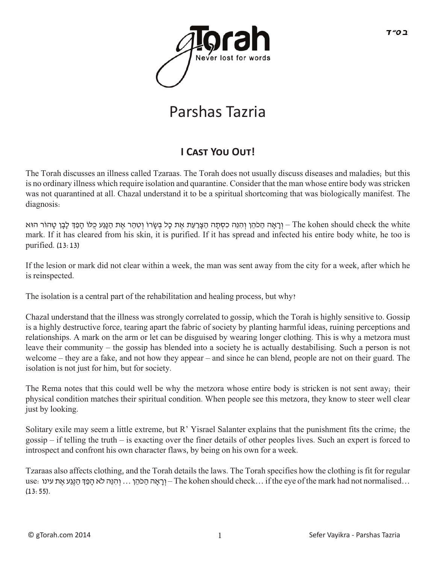

## Parshas Tazria

## **I CAST YOU OUT!**

The Torah discusses an illness called Tzaraas. The Torah does not usually discuss diseases and maladies; but this is no ordinary illness which require isolation and quarantine. Consider that the man whose entire body was stricken was not quarantined at all. Chazal understand it to be a spiritual shortcoming that was biologically manifest. The diagnosis:

The kohen should check the white – וְרָאָה הַכֹּהֵן וְהִנֵּה כִסְתָה הַצָּרַעַת אֶת כָּל בְּשְׂרוֹ וְטִהַר אֶת הַנְגַע כֻּלוֹ הָפַדְּ לָבָן טָהוֹר הוּא mark. If it has cleared from his skin, it is purified. If it has spread and infected his entire body white, he too is purified. (13:13)

If the lesion or mark did not clear within a week, the man was sent away from the city for a week, after which he is reinspected.

The isolation is a central part of the rehabilitation and healing process, but why?

Chazal understand that the illness was strongly correlated to gossip, which the Torah is highly sensitive to. Gossip is a highly destructive force, tearing apart the fabric of society by planting harmful ideas, ruining perceptions and relationships. A mark on the arm or let can be disguised by wearing longer clothing. This is why a metzora must leave their community – the gossip has blended into a society he is actually destabilising. Such a person is not welcome – they are a fake, and not how they appear – and since he can blend, people are not on their guard. The isolation is not just for him, but for society.

The Rema notes that this could well be why the metzora whose entire body is stricken is not sent away; their physical condition matches their spiritual condition. When people see this metzora, they know to steer well clear just by looking.

Solitary exile may seem a little extreme, but R' Yisrael Salanter explains that the punishment fits the crime; the gossip – if telling the truth – is exacting over the finer details of other peoples lives. Such an expert is forced to introspect and confront his own character flaws, by being on his own for a week.

Tzaraas also affects clothing, and the Torah details the laws. The Torah specifies how the clothing is fit for regular use: יִרְגֵּה לֹא הָפַךְּ הַגֵּע אֵת עינו (Ine kohen should check ... if the eye of the mark had not normalised  $(13:55)$ .